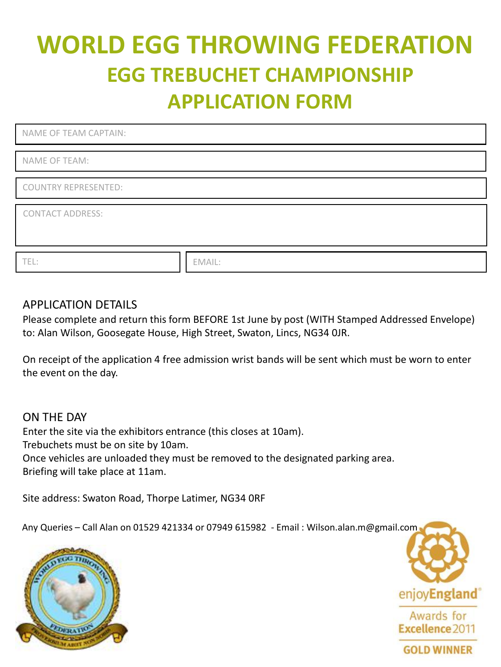# **WORLD EGG THROWING FEDERATION EGG TREBUCHET CHAMPIONSHIP APPLICATION FORM**

| NAME OF TEAM CAPTAIN:   |        |
|-------------------------|--------|
|                         |        |
| NAME OF TEAM:           |        |
|                         |        |
| COUNTRY REPRESENTED:    |        |
|                         |        |
| <b>CONTACT ADDRESS:</b> |        |
|                         |        |
|                         |        |
|                         |        |
| TEL:                    | EMAIL: |

## APPLICATION DETAILS

Please complete and return this form BEFORE 1st June by post (WITH Stamped Addressed Envelope) to: Alan Wilson, Goosegate House, High Street, Swaton, Lincs, NG34 0JR.

On receipt of the application 4 free admission wrist bands will be sent which must be worn to enter the event on the day.

ON THE DAY Enter the site via the exhibitors entrance (this closes at 10am). Trebuchets must be on site by 10am. Once vehicles are unloaded they must be removed to the designated parking area. Briefing will take place at 11am.

Site address: Swaton Road, Thorpe Latimer, NG34 0RF

Any Queries – Call Alan on 01529 421334 or 07949 615982 - Email : Wilson.alan.m@gmail.com